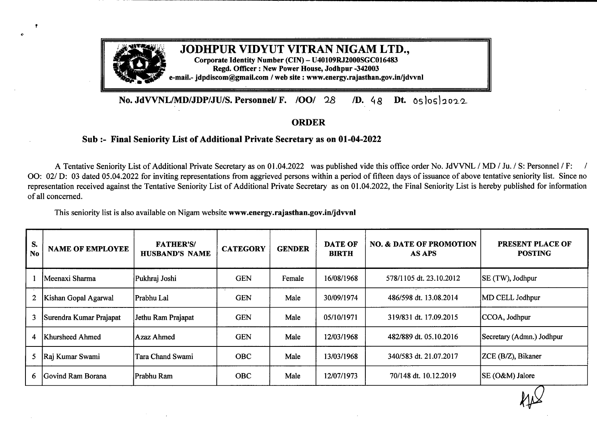

**No. JdVVNL/MDIJDP/JU/IS. Personnel/ F. /OOI** <sup>28</sup> */D.* <sup>4</sup>*<sup>g</sup>* **Dt.** 0slos)2022

## **ORDER**

## **Sub :- Final Seniority List ofAdditional Private Secretary as on 01-04-2022**

A Tentative Seniority List of Additional Private Secretary as on 01.04.2022 was published vide this office order No. JdVVNL / MD / Ju. / S: Personnel / F: / OO: 02/ D: 03 dated 05.04.2022 for inviting representations from aggrieved persons within a period of fifteen days of issuance of above tentative seniority list. Since no representation received against the Tentative Seniority List of Additional Private Secretary as on 01.04.2022, the Final Seniority List is hereby published for information of all concerned.

This seniority list is also available on Nigam website **www.energy.rajasthan.gov.in/jdvvnl**

*t*

| S.<br><b>No</b>      | <b>NAME OF EMPLOYEE</b> | <b>FATHER'S/</b><br><b>HUSBAND'S NAME</b> | <b>CATEGORY</b> | <b>GENDER</b> | <b>DATE OF</b><br><b>BIRTH</b> | <b>NO. &amp; DATE OF PROMOTION</b><br><b>AS APS</b> | PRESENT PLACE OF<br><b>POSTING</b> |
|----------------------|-------------------------|-------------------------------------------|-----------------|---------------|--------------------------------|-----------------------------------------------------|------------------------------------|
|                      | lMeenaxi Sharma         | Pukhraj Joshi                             | <b>GEN</b>      | Female        | 16/08/1968                     | 578/1105 dt. 23.10.2012                             | SE (TW), Jodhpur                   |
| $\mathbf{2}^{\circ}$ | Kishan Gopal Agarwal    | Prabhu Lal                                | <b>GEN</b>      | Male          | 30/09/1974                     | 486/598 dt. 13.08.2014                              | MD CELL Jodhpur                    |
| 3                    | Surendra Kumar Prajapat | Jethu Ram Prajapat                        | <b>GEN</b>      | Male          | 05/10/1971                     | 319/831 dt. 17.09.2015                              | CCOA, Jodhpur                      |
| 4                    | <b>Khursheed Ahmed</b>  | Azaz Ahmed                                | <b>GEN</b>      | Male          | 12/03/1968                     | 482/889 dt. 05.10.2016                              | Secretary (Admn.) Jodhpur          |
| 5                    | Raj Kumar Swami         | Tara Chand Swami                          | <b>OBC</b>      | Male          | 13/03/1968                     | 340/583 dt. 21.07.2017                              | ZCE (B/Z), Bikaner                 |
| 6                    | Govind Ram Borana       | Prabhu Ram                                | <b>OBC</b>      | Male          | 12/07/1973                     | 70/148 dt. 10.12.2019                               | SE (O&M) Jalore                    |